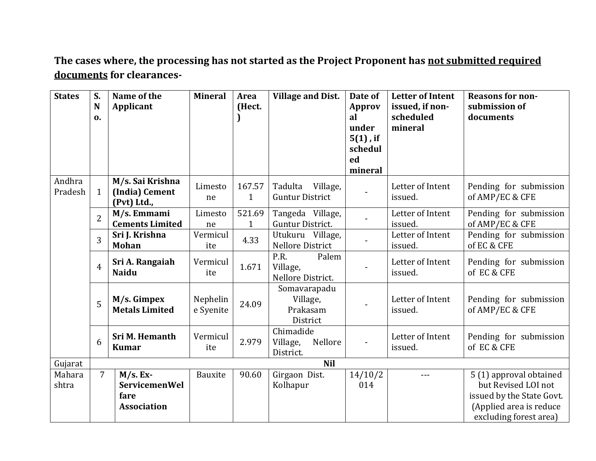**The cases where, the processing has not started as the Project Proponent has not submitted required documents for clearances-**

| <b>States</b>     | S.<br>N<br>0.  | Name of the<br>Applicant                                         | <b>Mineral</b>        | Area<br>(Hect. | <b>Village and Dist.</b>                         | Date of<br>Approv<br>al<br>under<br>$5(1)$ , if<br>schedul<br>ed | <b>Letter of Intent</b><br>issued, if non-<br>scheduled<br>mineral | <b>Reasons for non-</b><br>submission of<br>documents                                                  |
|-------------------|----------------|------------------------------------------------------------------|-----------------------|----------------|--------------------------------------------------|------------------------------------------------------------------|--------------------------------------------------------------------|--------------------------------------------------------------------------------------------------------|
|                   |                |                                                                  |                       |                |                                                  | mineral                                                          |                                                                    |                                                                                                        |
| Andhra<br>Pradesh | $\mathbf{1}$   | M/s. Sai Krishna<br>(India) Cement<br>(Pvt) Ltd.,                | Limesto<br>ne         | 167.57<br>1    | Tadulta<br>Village,<br><b>Guntur District</b>    |                                                                  | Letter of Intent<br>issued.                                        | Pending for submission<br>of AMP/EC & CFE                                                              |
|                   | $\overline{2}$ | M/s. Emmami<br><b>Cements Limited</b>                            | Limesto<br>ne         | 521.69<br>1    | Tangeda Village,<br>Guntur District.             |                                                                  | Letter of Intent<br>issued.                                        | Pending for submission<br>of AMP/EC & CFE                                                              |
|                   | 3              | Sri J. Krishna<br><b>Mohan</b>                                   | Vermicul<br>ite       | 4.33           | Utukuru Village,<br><b>Nellore District</b>      |                                                                  | Letter of Intent<br>issued.                                        | Pending for submission<br>of EC & CFE                                                                  |
|                   | $\overline{4}$ | Sri A. Rangaiah<br><b>Naidu</b>                                  | Vermicul<br>ite       | 1.671          | P.R.<br>Palem<br>Village,<br>Nellore District.   |                                                                  | Letter of Intent<br>issued.                                        | Pending for submission<br>of EC & CFE                                                                  |
|                   | 5              | M/s. Gimpex<br><b>Metals Limited</b>                             | Nephelin<br>e Syenite | 24.09          | Somavarapadu<br>Village,<br>Prakasam<br>District | $\blacksquare$                                                   | Letter of Intent<br>issued.                                        | Pending for submission<br>of AMP/EC & CFE                                                              |
|                   | 6              | Sri M. Hemanth<br><b>Kumar</b>                                   | Vermicul<br>ite       | 2.979          | Chimadide<br>Village,<br>Nellore<br>District.    |                                                                  | Letter of Intent<br>issued.                                        | Pending for submission<br>of EC & CFE                                                                  |
| Gujarat           |                |                                                                  |                       |                | <b>Nil</b>                                       |                                                                  |                                                                    |                                                                                                        |
| Mahara<br>shtra   | $\overline{7}$ | $M/s. Ex-$<br><b>ServicemenWel</b><br>fare<br><b>Association</b> | <b>Bauxite</b>        | 90.60          | Girgaon Dist.<br>Kolhapur                        | 14/10/2<br>014                                                   |                                                                    | 5 (1) approval obtained<br>but Revised LOI not<br>issued by the State Govt.<br>(Applied area is reduce |
|                   |                |                                                                  |                       |                |                                                  |                                                                  |                                                                    | excluding forest area)                                                                                 |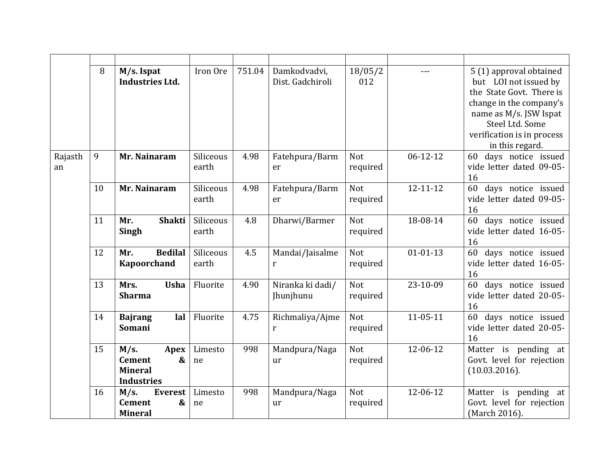|               | 8  | $M/s.$ Ispat<br><b>Industries Ltd.</b>                                            | Iron Ore           | 751.04 | Damkodvadvi,<br>Dist. Gadchiroli | 18/05/2<br>012         |                | 5 (1) approval obtained<br>but LOI not issued by<br>the State Govt. There is<br>change in the company's<br>name as M/s. JSW Ispat<br>Steel Ltd. Some<br>verification is in process<br>in this regard. |
|---------------|----|-----------------------------------------------------------------------------------|--------------------|--------|----------------------------------|------------------------|----------------|-------------------------------------------------------------------------------------------------------------------------------------------------------------------------------------------------------|
| Rajasth<br>an | 9  | Mr. Nainaram                                                                      | Siliceous<br>earth | 4.98   | Fatehpura/Barm<br>er             | <b>Not</b><br>required | $06 - 12 - 12$ | 60 days notice issued<br>vide letter dated 09-05-<br>16                                                                                                                                               |
|               | 10 | Mr. Nainaram                                                                      | Siliceous<br>earth | 4.98   | Fatehpura/Barm<br>er             | <b>Not</b><br>required | $12 - 11 - 12$ | days notice issued<br>60<br>vide letter dated 09-05-<br>16                                                                                                                                            |
|               | 11 | <b>Shakti</b><br>Mr.<br>Singh                                                     | Siliceous<br>earth | 4.8    | Dharwi/Barmer                    | <b>Not</b><br>required | 18-08-14       | 60<br>days notice issued<br>vide letter dated 16-05-<br>16                                                                                                                                            |
|               | 12 | <b>Bedilal</b><br>Mr.<br><b>Kapoorchand</b>                                       | Siliceous<br>earth | 4.5    | Mandai/Jaisalme<br>r             | Not<br>required        | $01 - 01 - 13$ | days notice issued<br>60<br>vide letter dated 16-05-<br>16                                                                                                                                            |
|               | 13 | Mrs.<br><b>Usha</b><br><b>Sharma</b>                                              | Fluorite           | 4.90   | Niranka ki dadi/<br>Jhunjhunu    | <b>Not</b><br>required | 23-10-09       | days notice issued<br>60<br>vide letter dated 20-05-<br>16                                                                                                                                            |
|               | 14 | <b>Bajrang</b><br>lal<br><b>Somani</b>                                            | Fluorite           | 4.75   | Richmaliya/Ajme<br>$\mathbf{r}$  | Not<br>required        | $11 - 05 - 11$ | 60<br>days notice issued<br>vide letter dated 20-05-<br>16                                                                                                                                            |
|               | 15 | M/s.<br>Apex<br><b>Cement</b><br>&<br><b>Mineral</b><br><b>Industries</b>         | Limesto<br>ne      | 998    | Mandpura/Naga<br>ur              | <b>Not</b><br>required | 12-06-12       | Matter is pending at<br>Govt. level for rejection<br>(10.03.2016).                                                                                                                                    |
|               | 16 | $M/s$ .<br><b>Everest</b><br><b>Cement</b><br>$\boldsymbol{\&}$<br><b>Mineral</b> | Limesto<br>ne      | 998    | Mandpura/Naga<br>ur              | <b>Not</b><br>required | 12-06-12       | Matter is pending at<br>Govt. level for rejection<br>(March 2016).                                                                                                                                    |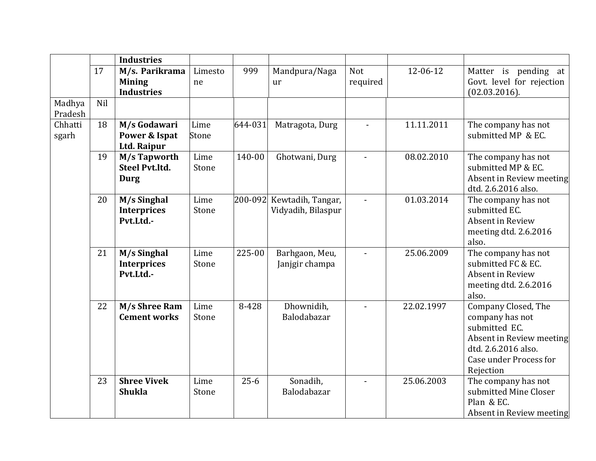|                   |     | <b>Industries</b>                                    |               |          |                                         |                 |            |                                                                                                                                                   |
|-------------------|-----|------------------------------------------------------|---------------|----------|-----------------------------------------|-----------------|------------|---------------------------------------------------------------------------------------------------------------------------------------------------|
|                   | 17  | M/s. Parikrama<br><b>Mining</b><br><b>Industries</b> | Limesto<br>ne | 999      | Mandpura/Naga<br>ur                     | Not<br>required | 12-06-12   | Matter is pending at<br>Govt. level for rejection<br>$(02.03.2016)$ .                                                                             |
| Madhya<br>Pradesh | Nil |                                                      |               |          |                                         |                 |            |                                                                                                                                                   |
| Chhatti<br>sgarh  | 18  | M/s Godawari<br>Power & Ispat<br>Ltd. Raipur         | Lime<br>Stone | 644-031  | Matragota, Durg                         | $\overline{a}$  | 11.11.2011 | The company has not<br>submitted MP & EC.                                                                                                         |
|                   | 19  | M/s Tapworth<br><b>Steel Pyt.ltd.</b><br>Durg        | Lime<br>Stone | 140-00   | Ghotwani, Durg                          | $\blacksquare$  | 08.02.2010 | The company has not<br>submitted MP & EC.<br>Absent in Review meeting<br>dtd. 2.6.2016 also.                                                      |
|                   | 20  | M/s Singhal<br><b>Interprices</b><br>Pvt.Ltd.-       | Lime<br>Stone | 200-092  | Kewtadih, Tangar,<br>Vidyadih, Bilaspur |                 | 01.03.2014 | The company has not<br>submitted EC.<br>Absent in Review<br>meeting dtd. 2.6.2016<br>also.                                                        |
|                   | 21  | M/s Singhal<br><b>Interprices</b><br>Pvt.Ltd.-       | Lime<br>Stone | 225-00   | Barhgaon, Meu,<br>Janjgir champa        |                 | 25.06.2009 | The company has not<br>submitted FC & EC.<br>Absent in Review<br>meeting dtd. 2.6.2016<br>also.                                                   |
|                   | 22  | M/s Shree Ram<br><b>Cement works</b>                 | Lime<br>Stone | 8-428    | Dhownidih,<br>Balodabazar               |                 | 22.02.1997 | Company Closed, The<br>company has not<br>submitted EC.<br>Absent in Review meeting<br>dtd. 2.6.2016 also.<br>Case under Process for<br>Rejection |
|                   | 23  | <b>Shree Vivek</b><br><b>Shukla</b>                  | Lime<br>Stone | $25 - 6$ | Sonadih,<br>Balodabazar                 | $\overline{a}$  | 25.06.2003 | The company has not<br>submitted Mine Closer<br>Plan & EC.<br>Absent in Review meeting                                                            |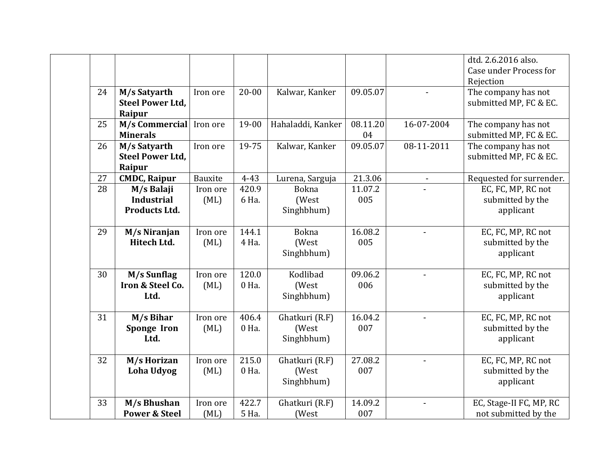|    |                                                   |                  |                |                                       |                |                          | dtd. 2.6.2016 also.<br>Case under Process for<br>Rejection |
|----|---------------------------------------------------|------------------|----------------|---------------------------------------|----------------|--------------------------|------------------------------------------------------------|
| 24 | M/s Satyarth<br><b>Steel Power Ltd,</b><br>Raipur | Iron ore         | $20 - 00$      | Kalwar, Kanker                        | 09.05.07       |                          | The company has not<br>submitted MP, FC & EC.              |
| 25 | M/s Commercial<br><b>Minerals</b>                 | Iron ore         | 19-00          | Hahaladdi, Kanker                     | 08.11.20<br>04 | 16-07-2004               | The company has not<br>submitted MP, FC & EC.              |
| 26 | M/s Satyarth<br><b>Steel Power Ltd,</b><br>Raipur | Iron ore         | 19-75          | Kalwar, Kanker                        | 09.05.07       | 08-11-2011               | The company has not<br>submitted MP, FC & EC.              |
| 27 | <b>CMDC, Raipur</b>                               | Bauxite          | $4 - 43$       | Lurena, Sarguja                       | 21.3.06        | $\overline{\phantom{a}}$ | Requested for surrender.                                   |
| 28 | M/s Balaji<br><b>Industrial</b><br>Products Ltd.  | Iron ore<br>(ML) | 420.9<br>6 Ha. | Bokna<br>(West<br>Singhbhum)          | 11.07.2<br>005 |                          | EC, FC, MP, RC not<br>submitted by the<br>applicant        |
| 29 | M/s Niranjan<br><b>Hitech Ltd.</b>                | Iron ore<br>(ML) | 144.1<br>4 Ha. | <b>Bokna</b><br>(West<br>Singhbhum)   | 16.08.2<br>005 |                          | EC, FC, MP, RC not<br>submitted by the<br>applicant        |
| 30 | M/s Sunflag<br>Iron & Steel Co.<br>Ltd.           | Iron ore<br>(ML) | 120.0<br>0 Ha. | Kodlibad<br>(West<br>Singhbhum)       | 09.06.2<br>006 |                          | EC, FC, MP, RC not<br>submitted by the<br>applicant        |
| 31 | M/s Bihar<br>Sponge Iron<br>Ltd.                  | Iron ore<br>(ML) | 406.4<br>0 Ha. | Ghatkuri (R.F)<br>(West<br>Singhbhum) | 16.04.2<br>007 |                          | EC, FC, MP, RC not<br>submitted by the<br>applicant        |
| 32 | M/s Horizan<br>Loha Udyog                         | Iron ore<br>(ML) | 215.0<br>0 Ha. | Ghatkuri (R.F)<br>(West<br>Singhbhum) | 27.08.2<br>007 |                          | EC, FC, MP, RC not<br>submitted by the<br>applicant        |
| 33 | M/s Bhushan<br><b>Power &amp; Steel</b>           | Iron ore<br>(ML) | 422.7<br>5 Ha. | Ghatkuri (R.F)<br>(West               | 14.09.2<br>007 |                          | EC, Stage-II FC, MP, RC<br>not submitted by the            |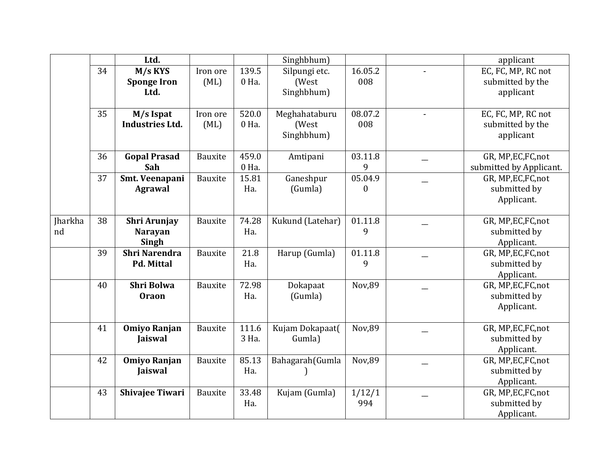|         |    | Ltd.                   |                |       | Singhbhum)       |                  |                | applicant               |
|---------|----|------------------------|----------------|-------|------------------|------------------|----------------|-------------------------|
|         | 34 | M/s KYS                | Iron ore       | 139.5 | Silpungi etc.    | 16.05.2          |                | EC, FC, MP, RC not      |
|         |    | <b>Sponge Iron</b>     | (ML)           | 0 Ha. | (West            | 008              |                | submitted by the        |
|         |    | Ltd.                   |                |       | Singhbhum)       |                  |                | applicant               |
|         |    |                        |                |       |                  |                  |                |                         |
|         | 35 | M/s Ispat              | Iron ore       | 520.0 | Meghahataburu    | 08.07.2          | $\blacksquare$ | EC, FC, MP, RC not      |
|         |    | <b>Industries Ltd.</b> | (ML)           | 0 Ha. | (West            | 008              |                | submitted by the        |
|         |    |                        |                |       | Singhbhum)       |                  |                | applicant               |
|         |    |                        |                |       |                  |                  |                |                         |
|         | 36 | <b>Gopal Prasad</b>    | <b>Bauxite</b> | 459.0 | Amtipani         | 03.11.8          |                | GR, MP, EC, FC, not     |
|         |    | Sah                    |                | 0 Ha. |                  | 9                |                | submitted by Applicant. |
|         | 37 | Smt. Veenapani         | Bauxite        | 15.81 | Ganeshpur        | 05.04.9          |                | GR, MP, EC, FC, not     |
|         |    | <b>Agrawal</b>         |                | Ha.   | (Gumla)          | $\boldsymbol{0}$ |                | submitted by            |
|         |    |                        |                |       |                  |                  |                | Applicant.              |
|         |    |                        |                |       |                  |                  |                |                         |
| Jharkha | 38 | Shri Arunjay           | Bauxite        | 74.28 | Kukund (Latehar) | 01.11.8          |                | GR, MP, EC, FC, not     |
| nd      |    | <b>Narayan</b>         |                | Ha.   |                  | 9                |                | submitted by            |
|         |    | Singh                  |                |       |                  |                  |                | Applicant.              |
|         | 39 | <b>Shri Narendra</b>   | Bauxite        | 21.8  | Harup (Gumla)    | 01.11.8          |                | GR, MP, EC, FC, not     |
|         |    | <b>Pd. Mittal</b>      |                | Ha.   |                  | 9                |                | submitted by            |
|         |    |                        |                |       |                  |                  |                | Applicant.              |
|         | 40 | <b>Shri Bolwa</b>      | Bauxite        | 72.98 | Dokapaat         | Nov,89           |                | GR, MP, EC, FC, not     |
|         |    | <b>Oraon</b>           |                | Ha.   | (Gumla)          |                  |                | submitted by            |
|         |    |                        |                |       |                  |                  |                | Applicant.              |
|         |    |                        |                |       |                  |                  |                |                         |
|         | 41 | <b>Omiyo Ranjan</b>    | Bauxite        | 111.6 | Kujam Dokapaat(  | Nov,89           |                | GR, MP, EC, FC, not     |
|         |    | <b>Jaiswal</b>         |                | 3 Ha. | Gumla)           |                  |                | submitted by            |
|         |    |                        |                |       |                  |                  |                | Applicant.              |
|         | 42 | <b>Omiyo Ranjan</b>    | Bauxite        | 85.13 | Bahagarah (Gumla | Nov,89           |                | GR, MP, EC, FC, not     |
|         |    | <b>Jaiswal</b>         |                | Ha.   |                  |                  |                | submitted by            |
|         |    |                        |                |       |                  |                  |                | Applicant.              |
|         | 43 | <b>Shivajee Tiwari</b> | Bauxite        | 33.48 | Kujam (Gumla)    | 1/12/1           |                | GR, MP, EC, FC, not     |
|         |    |                        |                | Ha.   |                  | 994              |                | submitted by            |
|         |    |                        |                |       |                  |                  |                | Applicant.              |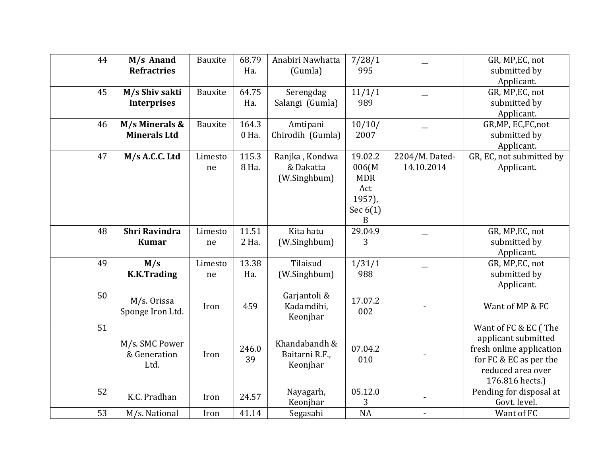| 44 | M/s Anand<br><b>Refractries</b>        | Bauxite       | 68.79<br>Ha.   | Anabiri Nawhatta<br>(Gumla)                 | 7/28/1<br>995                                                                |                              | GR, MP, EC, not<br>submitted by<br>Applicant.                                                                                             |
|----|----------------------------------------|---------------|----------------|---------------------------------------------|------------------------------------------------------------------------------|------------------------------|-------------------------------------------------------------------------------------------------------------------------------------------|
| 45 | M/s Shiv sakti<br><b>Interprises</b>   | Bauxite       | 64.75<br>Ha.   | Serengdag<br>Salangi (Gumla)                | 11/1/1<br>989                                                                |                              | GR, MP, EC, not<br>submitted by<br>Applicant.                                                                                             |
| 46 | M/s Minerals &<br><b>Minerals Ltd</b>  | Bauxite       | 164.3<br>0 Ha. | Amtipani<br>Chirodih (Gumla)                | 10/10/<br>2007                                                               |                              | GR, MP, EC, FC, not<br>submitted by<br>Applicant.                                                                                         |
| 47 | M/s A.C.C. Ltd                         | Limesto<br>ne | 115.3<br>8 Ha. | Ranjka, Kondwa<br>& Dakatta<br>(W.Singhbum) | 19.02.2<br>006(M<br><b>MDR</b><br>Act<br>1957),<br>Sec $6(1)$<br>$\mathbf B$ | 2204/M. Dated-<br>14.10.2014 | GR, EC, not submitted by<br>Applicant.                                                                                                    |
| 48 | <b>Shri Ravindra</b><br><b>Kumar</b>   | Limesto<br>ne | 11.51<br>2 Ha. | Kita hatu<br>(W.Singhbum)                   | 29.04.9<br>3                                                                 |                              | GR, MP, EC, not<br>submitted by<br>Applicant.                                                                                             |
| 49 | M/s<br><b>K.K.Trading</b>              | Limesto<br>ne | 13.38<br>Ha.   | Tilaisud<br>(W.Singhbum)                    | 1/31/1<br>988                                                                |                              | GR, MP, EC, not<br>submitted by<br>Applicant.                                                                                             |
| 50 | M/s. Orissa<br>Sponge Iron Ltd.        | Iron          | 459            | Garjantoli &<br>Kadamdihi,<br>Keonjhar      | 17.07.2<br>002                                                               |                              | Want of MP & FC                                                                                                                           |
| 51 | M/s. SMC Power<br>& Generation<br>Ltd. | Iron          | 246.0<br>39    | Khandabandh &<br>Baitarni R.F.,<br>Keonjhar | 07.04.2<br>010                                                               |                              | Want of FC & EC (The<br>applicant submitted<br>fresh online application<br>for FC & EC as per the<br>reduced area over<br>176.816 hects.) |
| 52 | K.C. Pradhan                           | Iron          | 24.57          | Nayagarh,<br>Keonjhar                       | 05.12.0<br>3                                                                 |                              | Pending for disposal at<br>Govt. level.                                                                                                   |
| 53 | M/s. National                          | Iron          | 41.14          | Segasahi                                    | NA                                                                           |                              | Want of FC                                                                                                                                |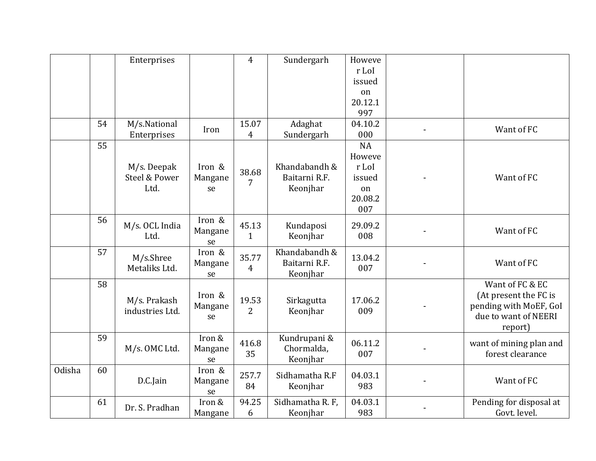|               |    | Enterprises                |              | $\overline{4}$          | Sundergarh                 | Howeve          |                         |
|---------------|----|----------------------------|--------------|-------------------------|----------------------------|-----------------|-------------------------|
|               |    |                            |              |                         |                            | r LoI<br>issued |                         |
|               |    |                            |              |                         |                            | on              |                         |
|               |    |                            |              |                         |                            | 20.12.1         |                         |
|               |    |                            |              |                         |                            | 997             |                         |
|               | 54 | M/s.National               | Iron         | 15.07                   | Adaghat                    | 04.10.2         | Want of FC              |
|               |    | Enterprises                |              | 4                       | Sundergarh                 | 000             |                         |
|               | 55 |                            |              |                         |                            | <b>NA</b>       |                         |
|               |    |                            |              |                         |                            | Howeve          |                         |
|               |    | M/s. Deepak                | Iron &       | 38.68                   | Khandabandh &              | r LoI           |                         |
|               |    | Steel & Power              | Mangane      | 7                       | Baitarni R.F.              | issued          | Want of FC              |
|               |    | Ltd.                       | se           |                         | Keonjhar                   | on              |                         |
|               |    |                            |              |                         |                            | 20.08.2<br>007  |                         |
|               | 56 |                            | Iron &       |                         |                            |                 |                         |
|               |    | M/s. OCL India             | Mangane      | 45.13                   | Kundaposi                  | 29.09.2         | Want of FC              |
|               |    | Ltd.                       | se           | $\mathbf{1}$            | Keonjhar                   | 008             |                         |
|               | 57 |                            | Iron &       |                         | Khandabandh &              |                 |                         |
|               |    | M/s.Shree<br>Metaliks Ltd. | Mangane      | 35.77<br>$\overline{4}$ | Baitarni R.F.              | 13.04.2<br>007  | Want of FC              |
|               |    |                            | se           |                         | Keonjhar                   |                 |                         |
|               | 58 |                            |              |                         |                            |                 | Want of FC & EC         |
|               |    | M/s. Prakash               | Iron &       | 19.53                   | Sirkagutta                 | 17.06.2         | (At present the FC is   |
|               |    | industries Ltd.            | Mangane      | 2                       | Keonjhar                   | 009             | pending with MoEF, GoI  |
|               |    |                            | se           |                         |                            |                 | due to want of NEERI    |
|               |    |                            |              |                         |                            |                 | report)                 |
|               | 59 |                            | Iron &       | 416.8                   | Kundrupani &<br>Chormalda, | 06.11.2         | want of mining plan and |
|               |    | M/s. OMC Ltd.              | Mangane      | 35                      | Keonjhar                   | 007             | forest clearance        |
| <b>Odisha</b> | 60 |                            | se<br>Iron & |                         |                            |                 |                         |
|               |    | D.C.Jain                   | Mangane      | 257.7                   | Sidhamatha R.F             | 04.03.1         | Want of FC              |
|               |    |                            | se           | 84                      | Keonjhar                   | 983             |                         |
|               | 61 |                            | Iron &       | 94.25                   | Sidhamatha R. F,           | 04.03.1         | Pending for disposal at |
|               |    | Dr. S. Pradhan             | Mangane      | 6                       | Keonjhar                   | 983             | Govt. level.            |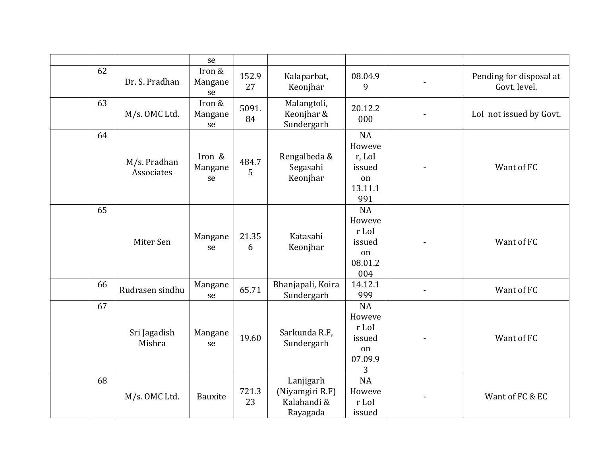|    |                            | se                      |             |                                                         |                                                                 |                                         |
|----|----------------------------|-------------------------|-------------|---------------------------------------------------------|-----------------------------------------------------------------|-----------------------------------------|
| 62 | Dr. S. Pradhan             | Iron &<br>Mangane<br>se | 152.9<br>27 | Kalaparbat,<br>Keonjhar                                 | 08.04.9<br>9                                                    | Pending for disposal at<br>Govt. level. |
| 63 | M/s. OMC Ltd.              | Iron &<br>Mangane<br>se | 5091.<br>84 | Malangtoli,<br>Keonjhar &<br>Sundergarh                 | 20.12.2<br>000                                                  | LoI not issued by Govt.                 |
| 64 | M/s. Pradhan<br>Associates | Iron &<br>Mangane<br>se | 484.7<br>5  | Rengalbeda &<br>Segasahi<br>Keonjhar                    | <b>NA</b><br>Howeve<br>r, LoI<br>issued<br>on<br>13.11.1<br>991 | Want of FC                              |
| 65 | Miter Sen                  | Mangane<br>se           | 21.35<br>6  | Katasahi<br>Keonjhar                                    | NA<br>Howeve<br>r LoI<br>issued<br>on<br>08.01.2<br>004         | Want of FC                              |
| 66 | Rudrasen sindhu            | Mangane<br>se           | 65.71       | Bhanjapali, Koira<br>Sundergarh                         | 14.12.1<br>999                                                  | Want of FC                              |
| 67 | Sri Jagadish<br>Mishra     | Mangane<br>se           | 19.60       | Sarkunda R.F,<br>Sundergarh                             | <b>NA</b><br>Howeve<br>r LoI<br>issued<br>on<br>07.09.9<br>3    | Want of FC                              |
| 68 | M/s. OMC Ltd.              | Bauxite                 | 721.3<br>23 | Lanjigarh<br>(Niyamgiri R.F)<br>Kalahandi &<br>Rayagada | <b>NA</b><br>Howeve<br>r LoI<br>issued                          | Want of FC & EC                         |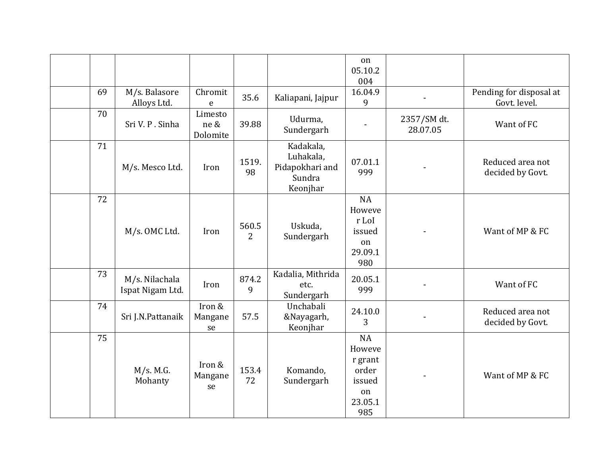|    |                                    |                             |             |                                                                 | on<br>05.10.2<br>004                                               |                         |                                         |
|----|------------------------------------|-----------------------------|-------------|-----------------------------------------------------------------|--------------------------------------------------------------------|-------------------------|-----------------------------------------|
| 69 | M/s. Balasore<br>Alloys Ltd.       | Chromit<br>${\bf e}$        | 35.6        | Kaliapani, Jajpur                                               | 16.04.9<br>9                                                       |                         | Pending for disposal at<br>Govt. level. |
| 70 | Sri V. P. Sinha                    | Limesto<br>ne &<br>Dolomite | 39.88       | Udurma,<br>Sundergarh                                           |                                                                    | 2357/SM dt.<br>28.07.05 | Want of FC                              |
| 71 | M/s. Mesco Ltd.                    | Iron                        | 1519.<br>98 | Kadakala,<br>Luhakala,<br>Pidapokhari and<br>Sundra<br>Keonjhar | 07.01.1<br>999                                                     |                         | Reduced area not<br>decided by Govt.    |
| 72 | M/s. OMC Ltd.                      | Iron                        | 560.5<br>2  | Uskuda,<br>Sundergarh                                           | <b>NA</b><br>Howeve<br>r LoI<br>issued<br>on<br>29.09.1<br>980     |                         | Want of MP & FC                         |
| 73 | M/s. Nilachala<br>Ispat Nigam Ltd. | Iron                        | 874.2<br>9  | Kadalia, Mithrida<br>etc.<br>Sundergarh                         | 20.05.1<br>999                                                     |                         | Want of FC                              |
| 74 | Sri J.N.Pattanaik                  | Iron &<br>Mangane<br>se     | 57.5        | Unchabali<br>&Nayagarh,<br>Keonjhar                             | 24.10.0<br>3                                                       |                         | Reduced area not<br>decided by Govt.    |
| 75 | M/s. M.G.<br>Mohanty               | Iron &<br>Mangane<br>se     | 153.4<br>72 | Komando,<br>Sundergarh                                          | NA<br>Howeve<br>r grant<br>order<br>issued<br>on<br>23.05.1<br>985 |                         | Want of MP & FC                         |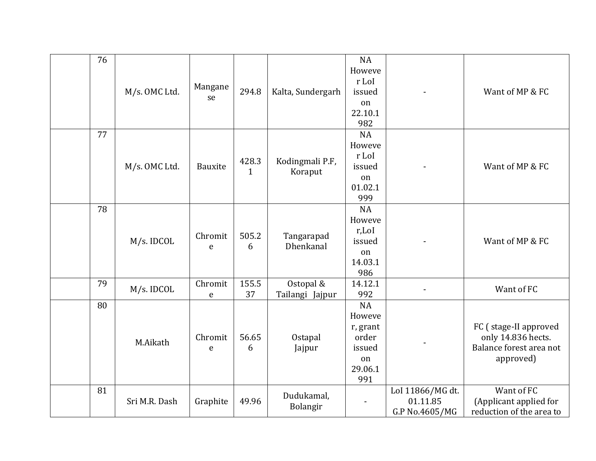| 76 | M/s. OMC Ltd. | Mangane<br>se          | 294.8                 | Kalta, Sundergarh            | <b>NA</b><br>Howeve<br>r LoI<br>issued<br>on<br>22.10.1<br>982             |                                                | Want of MP & FC                                                                     |
|----|---------------|------------------------|-----------------------|------------------------------|----------------------------------------------------------------------------|------------------------------------------------|-------------------------------------------------------------------------------------|
| 77 | M/s. OMC Ltd. | Bauxite                | 428.3<br>$\mathbf{1}$ | Kodingmali P.F,<br>Koraput   | <b>NA</b><br>Howeve<br>r LoI<br>issued<br>on<br>01.02.1<br>999             |                                                | Want of MP & FC                                                                     |
| 78 | M/s. IDCOL    | Chromit<br>e           | 505.2<br>6            | Tangarapad<br>Dhenkanal      | <b>NA</b><br>Howeve<br>r,LoI<br>issued<br>on<br>14.03.1<br>986             |                                                | Want of MP & FC                                                                     |
| 79 | M/s. IDCOL    | Chromit<br>${\bf e}$   | 155.5<br>37           | Ostopal &<br>Tailangi Jajpur | 14.12.1<br>992                                                             |                                                | Want of FC                                                                          |
| 80 | M.Aikath      | Chromit<br>$\mathbf e$ | 56.65<br>6            | Ostapal<br>Jajpur            | <b>NA</b><br>Howeve<br>r, grant<br>order<br>issued<br>on<br>29.06.1<br>991 |                                                | FC (stage-II approved<br>only 14.836 hects.<br>Balance forest area not<br>approved) |
| 81 | Sri M.R. Dash | Graphite               | 49.96                 | Dudukamal,<br>Bolangir       | $\overline{\phantom{a}}$                                                   | LoI 11866/MG dt.<br>01.11.85<br>G.P No.4605/MG | Want of FC<br>(Applicant applied for<br>reduction of the area to                    |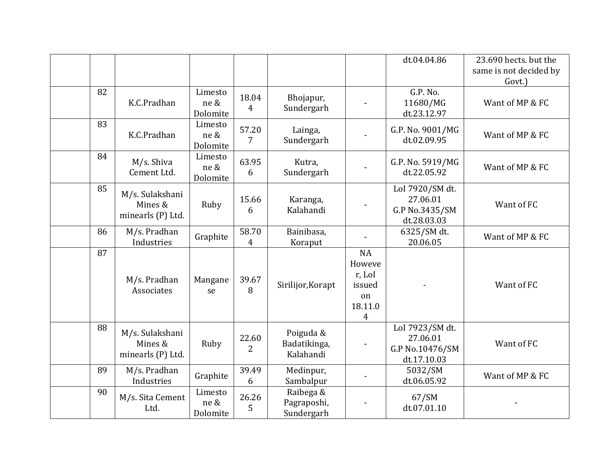|    |                                                 |                             |                         |                                        |                                                                            | dt.04.04.86                                                   | 23.690 hects. but the<br>same is not decided by |
|----|-------------------------------------------------|-----------------------------|-------------------------|----------------------------------------|----------------------------------------------------------------------------|---------------------------------------------------------------|-------------------------------------------------|
|    |                                                 |                             |                         |                                        |                                                                            |                                                               | Govt.)                                          |
| 82 | K.C.Pradhan                                     | Limesto<br>ne &<br>Dolomite | 18.04<br>4              | Bhojapur,<br>Sundergarh                |                                                                            | G.P. No.<br>11680/MG<br>dt.23.12.97                           | Want of MP & FC                                 |
| 83 | K.C.Pradhan                                     | Limesto<br>ne &<br>Dolomite | 57.20<br>$\overline{7}$ | Lainga,<br>Sundergarh                  |                                                                            | G.P. No. 9001/MG<br>dt.02.09.95                               | Want of MP & FC                                 |
| 84 | M/s. Shiva<br>Cement Ltd.                       | Limesto<br>ne &<br>Dolomite | 63.95<br>6              | Kutra,<br>Sundergarh                   |                                                                            | G.P. No. 5919/MG<br>dt.22.05.92                               | Want of MP & FC                                 |
| 85 | M/s. Sulakshani<br>Mines &<br>minearls (P) Ltd. | Ruby                        | 15.66<br>6              | Karanga,<br>Kalahandi                  |                                                                            | LoI 7920/SM dt.<br>27.06.01<br>G.P No.3435/SM<br>dt.28.03.03  | Want of FC                                      |
| 86 | M/s. Pradhan<br>Industries                      | Graphite                    | 58.70<br>4              | Bainibasa,<br>Koraput                  |                                                                            | 6325/SM dt.<br>20.06.05                                       | Want of MP & FC                                 |
| 87 | M/s. Pradhan<br>Associates                      | Mangane<br>se               | 39.67<br>8              | Sirilijor, Korapt                      | <b>NA</b><br>Howeve<br>r, LoI<br>issued<br>on<br>18.11.0<br>$\overline{4}$ |                                                               | Want of FC                                      |
| 88 | M/s. Sulakshani<br>Mines &<br>minearls (P) Ltd. | Ruby                        | 22.60<br>2              | Poiguda &<br>Badatikinga,<br>Kalahandi |                                                                            | LoI 7923/SM dt.<br>27.06.01<br>G.P No.10476/SM<br>dt.17.10.03 | Want of FC                                      |
| 89 | M/s. Pradhan<br>Industries                      | Graphite                    | 39.49<br>6              | Medinpur,<br>Sambalpur                 |                                                                            | 5032/SM<br>dt.06.05.92                                        | Want of MP & FC                                 |
| 90 | M/s. Sita Cement<br>Ltd.                        | Limesto<br>ne &<br>Dolomite | 26.26<br>5              | Raibega &<br>Pagraposhi,<br>Sundergarh |                                                                            | 67/SM<br>dt.07.01.10                                          |                                                 |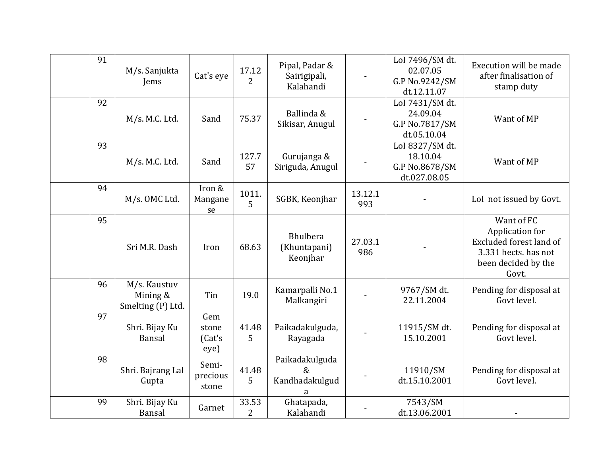| 91 | M/s. Sanjukta<br>Jems                         | Cat's eye                      | 17.12<br>2              | Pipal, Padar &<br>Sairigipali,<br>Kalahandi   |                | LoI 7496/SM dt.<br>02.07.05<br>G.P No.9242/SM<br>dt.12.11.07  | Execution will be made<br>after finalisation of<br>stamp duty                                                    |
|----|-----------------------------------------------|--------------------------------|-------------------------|-----------------------------------------------|----------------|---------------------------------------------------------------|------------------------------------------------------------------------------------------------------------------|
| 92 | M/s. M.C. Ltd.                                | Sand                           | 75.37                   | Ballinda &<br>Sikisar, Anugul                 |                | LoI 7431/SM dt.<br>24.09.04<br>G.P No.7817/SM<br>dt.05.10.04  | Want of MP                                                                                                       |
| 93 | M/s. M.C. Ltd.                                | Sand                           | 127.7<br>57             | Gurujanga &<br>Siriguda, Anugul               |                | LoI 8327/SM dt.<br>18.10.04<br>G.P No.8678/SM<br>dt.027.08.05 | Want of MP                                                                                                       |
| 94 | M/s. OMC Ltd.                                 | Iron &<br>Mangane<br>se        | 1011.<br>5              | SGBK, Keonjhar                                | 13.12.1<br>993 |                                                               | LoI not issued by Govt.                                                                                          |
| 95 | Sri M.R. Dash                                 | Iron                           | 68.63                   | <b>Bhulbera</b><br>(Khuntapani)<br>Keonjhar   | 27.03.1<br>986 |                                                               | Want of FC<br>Application for<br>Excluded forest land of<br>3.331 hects. has not<br>been decided by the<br>Govt. |
| 96 | M/s. Kaustuv<br>Mining &<br>Smelting (P) Ltd. | Tin                            | 19.0                    | Kamarpalli No.1<br>Malkangiri                 |                | 9767/SM dt.<br>22.11.2004                                     | Pending for disposal at<br>Govt level.                                                                           |
| 97 | Shri. Bijay Ku<br>Bansal                      | Gem<br>stone<br>(Cat's<br>eye) | 41.48<br>5              | Paikadakulguda,<br>Rayagada                   |                | 11915/SM dt.<br>15.10.2001                                    | Pending for disposal at<br>Govt level.                                                                           |
| 98 | Shri. Bajrang Lal<br>Gupta                    | Semi-<br>precious<br>stone     | 41.48<br>5              | Paikadakulguda<br>$\&$<br>Kandhadakulgud<br>a |                | 11910/SM<br>dt.15.10.2001                                     | Pending for disposal at<br>Govt level.                                                                           |
| 99 | Shri. Bijay Ku<br>Bansal                      | Garnet                         | 33.53<br>$\overline{2}$ | Ghatapada,<br>Kalahandi                       |                | 7543/SM<br>dt.13.06.2001                                      |                                                                                                                  |